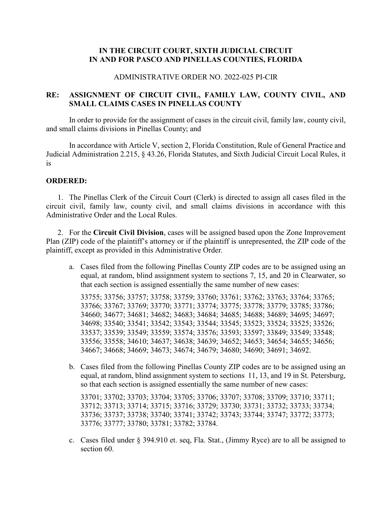# **IN THE CIRCUIT COURT, SIXTH JUDICIAL CIRCUIT IN AND FOR PASCO AND PINELLAS COUNTIES, FLORIDA**

#### ADMINISTRATIVE ORDER NO. 2022-025 PI-CIR

# **RE: ASSIGNMENT OF CIRCUIT CIVIL, FAMILY LAW, COUNTY CIVIL, AND SMALL CLAIMS CASES IN PINELLAS COUNTY**

In order to provide for the assignment of cases in the circuit civil, family law, county civil, and small claims divisions in Pinellas County; and

In accordance with Article V, section 2, Florida Constitution, Rule of General Practice and Judicial Administration 2.215, § 43.26, Florida Statutes, and Sixth Judicial Circuit Local Rules, it is

### **ORDERED:**

1. The Pinellas Clerk of the Circuit Court (Clerk) is directed to assign all cases filed in the circuit civil, family law, county civil, and small claims divisions in accordance with this Administrative Order and the Local Rules.

2. For the **Circuit Civil Division**, cases will be assigned based upon the Zone Improvement Plan (ZIP) code of the plaintiff's attorney or if the plaintiff is unrepresented, the ZIP code of the plaintiff, except as provided in this Administrative Order*.*

a. Cases filed from the following Pinellas County ZIP codes are to be assigned using an equal, at random, blind assignment system to sections 7, 15, and 20 in Clearwater, so that each section is assigned essentially the same number of new cases:

33755; 33756; 33757; 33758; 33759; 33760; 33761; 33762; 33763; 33764; 33765; 33766; 33767; 33769; 33770; 33771; 33774; 33775; 33778; 33779; 33785; 33786; 34660; 34677; 34681; 34682; 34683; 34684; 34685; 34688; 34689; 34695; 34697; 34698; 33540; 33541; 33542; 33543; 33544; 33545; 33523; 33524; 33525; 33526; 33537; 33539; 33549; 33559; 33574; 33576; 33593; 33597; 33849; 33549; 33548; 33556; 33558; 34610; 34637; 34638; 34639; 34652; 34653; 34654; 34655; 34656; 34667; 34668; 34669; 34673; 34674; 34679; 34680; 34690; 34691; 34692.

b. Cases filed from the following Pinellas County ZIP codes are to be assigned using an equal, at random, blind assignment system to sections 11, 13, and 19 in St. Petersburg, so that each section is assigned essentially the same number of new cases:

33701; 33702; 33703; 33704; 33705; 33706; 33707; 33708; 33709; 33710; 33711; 33712; 33713; 33714; 33715; 33716; 33729; 33730; 33731; 33732; 33733; 33734; 33736; 33737; 33738; 33740; 33741; 33742; 33743; 33744; 33747; 33772; 33773; 33776; 33777; 33780; 33781; 33782; 33784.

c. Cases filed under § 394.910 et. seq, Fla. Stat., (Jimmy Ryce) are to all be assigned to section 60.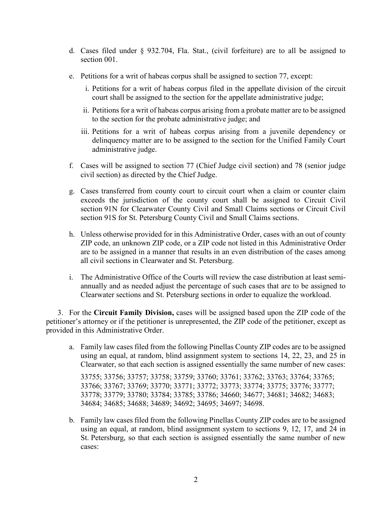- d. Cases filed under § 932.704, Fla. Stat., (civil forfeiture) are to all be assigned to section 001.
- e. Petitions for a writ of habeas corpus shall be assigned to section 77, except:
	- i. Petitions for a writ of habeas corpus filed in the appellate division of the circuit court shall be assigned to the section for the appellate administrative judge;
	- ii. Petitions for a writ of habeas corpus arising from a probate matter are to be assigned to the section for the probate administrative judge; and
	- iii. Petitions for a writ of habeas corpus arising from a juvenile dependency or delinquency matter are to be assigned to the section for the Unified Family Court administrative judge.
- f. Cases will be assigned to section 77 (Chief Judge civil section) and 78 (senior judge civil section) as directed by the Chief Judge.
- g. Cases transferred from county court to circuit court when a claim or counter claim exceeds the jurisdiction of the county court shall be assigned to Circuit Civil section 91N for Clearwater County Civil and Small Claims sections or Circuit Civil section 91S for St. Petersburg County Civil and Small Claims sections.
- h. Unless otherwise provided for in this Administrative Order, cases with an out of county ZIP code, an unknown ZIP code, or a ZIP code not listed in this Administrative Order are to be assigned in a manner that results in an even distribution of the cases among all civil sections in Clearwater and St. Petersburg.
- i. The Administrative Office of the Courts will review the case distribution at least semiannually and as needed adjust the percentage of such cases that are to be assigned to Clearwater sections and St. Petersburg sections in order to equalize the workload.

3. For the **Circuit Family Division,** cases will be assigned based upon the ZIP code of the petitioner's attorney or if the petitioner is unrepresented, the ZIP code of the petitioner, except as provided in this Administrative Order.

a. Family law cases filed from the following Pinellas County ZIP codes are to be assigned using an equal, at random, blind assignment system to sections 14, 22, 23, and 25 in Clearwater, so that each section is assigned essentially the same number of new cases:

33755; 33756; 33757; 33758; 33759; 33760; 33761; 33762; 33763; 33764; 33765; 33766; 33767; 33769; 33770; 33771; 33772; 33773; 33774; 33775; 33776; 33777; 33778; 33779; 33780; 33784; 33785; 33786; 34660; 34677; 34681; 34682; 34683; 34684; 34685; 34688; 34689; 34692; 34695; 34697; 34698.

b. Family law cases filed from the following Pinellas County ZIP codes are to be assigned using an equal, at random, blind assignment system to sections 9, 12, 17, and 24 in St. Petersburg, so that each section is assigned essentially the same number of new cases: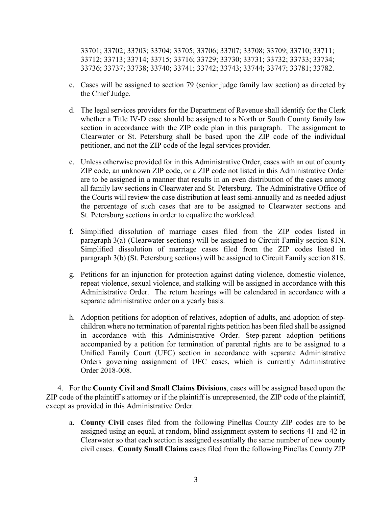33701; 33702; 33703; 33704; 33705; 33706; 33707; 33708; 33709; 33710; 33711; 33712; 33713; 33714; 33715; 33716; 33729; 33730; 33731; 33732; 33733; 33734; 33736; 33737; 33738; 33740; 33741; 33742; 33743; 33744; 33747; 33781; 33782.

- c. Cases will be assigned to section 79 (senior judge family law section) as directed by the Chief Judge.
- d. The legal services providers for the Department of Revenue shall identify for the Clerk whether a Title IV-D case should be assigned to a North or South County family law section in accordance with the ZIP code plan in this paragraph. The assignment to Clearwater or St. Petersburg shall be based upon the ZIP code of the individual petitioner, and not the ZIP code of the legal services provider.
- e. Unless otherwise provided for in this Administrative Order, cases with an out of county ZIP code, an unknown ZIP code, or a ZIP code not listed in this Administrative Order are to be assigned in a manner that results in an even distribution of the cases among all family law sections in Clearwater and St. Petersburg. The Administrative Office of the Courts will review the case distribution at least semi-annually and as needed adjust the percentage of such cases that are to be assigned to Clearwater sections and St. Petersburg sections in order to equalize the workload.
- f. Simplified dissolution of marriage cases filed from the ZIP codes listed in paragraph 3(a) (Clearwater sections) will be assigned to Circuit Family section 81N. Simplified dissolution of marriage cases filed from the ZIP codes listed in paragraph 3(b) (St. Petersburg sections) will be assigned to Circuit Family section 81S.
- g. Petitions for an injunction for protection against dating violence, domestic violence, repeat violence, sexual violence, and stalking will be assigned in accordance with this Administrative Order. The return hearings will be calendared in accordance with a separate administrative order on a yearly basis.
- h. Adoption petitions for adoption of relatives, adoption of adults, and adoption of stepchildren where no termination of parental rights petition has been filed shall be assigned in accordance with this Administrative Order. Step-parent adoption petitions accompanied by a petition for termination of parental rights are to be assigned to a Unified Family Court (UFC) section in accordance with separate Administrative Orders governing assignment of UFC cases, which is currently Administrative Order 2018-008.

4. For the **County Civil and Small Claims Divisions**, cases will be assigned based upon the ZIP code of the plaintiff's attorney or if the plaintiff is unrepresented, the ZIP code of the plaintiff, except as provided in this Administrative Order*.*

a. **County Civil** cases filed from the following Pinellas County ZIP codes are to be assigned using an equal, at random, blind assignment system to sections 41 and 42 in Clearwater so that each section is assigned essentially the same number of new county civil cases. **County Small Claims** cases filed from the following Pinellas County ZIP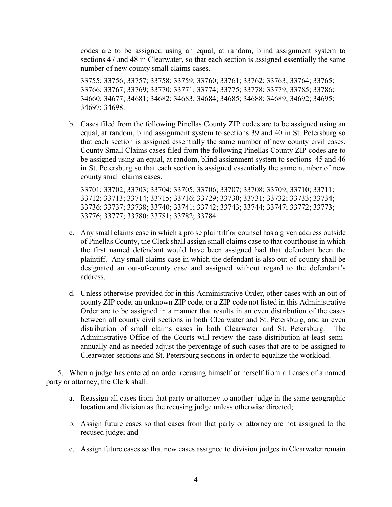codes are to be assigned using an equal, at random, blind assignment system to sections 47 and 48 in Clearwater, so that each section is assigned essentially the same number of new county small claims cases.

33755; 33756; 33757; 33758; 33759; 33760; 33761; 33762; 33763; 33764; 33765; 33766; 33767; 33769; 33770; 33771; 33774; 33775; 33778; 33779; 33785; 33786; 34660; 34677; 34681; 34682; 34683; 34684; 34685; 34688; 34689; 34692; 34695; 34697; 34698.

b. Cases filed from the following Pinellas County ZIP codes are to be assigned using an equal, at random, blind assignment system to sections 39 and 40 in St. Petersburg so that each section is assigned essentially the same number of new county civil cases. County Small Claims cases filed from the following Pinellas County ZIP codes are to be assigned using an equal, at random, blind assignment system to sections 45 and 46 in St. Petersburg so that each section is assigned essentially the same number of new county small claims cases.

33701; 33702; 33703; 33704; 33705; 33706; 33707; 33708; 33709; 33710; 33711; 33712; 33713; 33714; 33715; 33716; 33729; 33730; 33731; 33732; 33733; 33734; 33736; 33737; 33738; 33740; 33741; 33742; 33743; 33744; 33747; 33772; 33773; 33776; 33777; 33780; 33781; 33782; 33784.

- c. Any small claims case in which a pro se plaintiff or counsel has a given address outside of Pinellas County, the Clerk shall assign small claims case to that courthouse in which the first named defendant would have been assigned had that defendant been the plaintiff. Any small claims case in which the defendant is also out-of-county shall be designated an out-of-county case and assigned without regard to the defendant's address.
- d. Unless otherwise provided for in this Administrative Order, other cases with an out of county ZIP code, an unknown ZIP code, or a ZIP code not listed in this Administrative Order are to be assigned in a manner that results in an even distribution of the cases between all county civil sections in both Clearwater and St. Petersburg, and an even distribution of small claims cases in both Clearwater and St. Petersburg. The Administrative Office of the Courts will review the case distribution at least semiannually and as needed adjust the percentage of such cases that are to be assigned to Clearwater sections and St. Petersburg sections in order to equalize the workload.

5. When a judge has entered an order recusing himself or herself from all cases of a named party or attorney, the Clerk shall:

- a. Reassign all cases from that party or attorney to another judge in the same geographic location and division as the recusing judge unless otherwise directed;
- b. Assign future cases so that cases from that party or attorney are not assigned to the recused judge; and
- c. Assign future cases so that new cases assigned to division judges in Clearwater remain